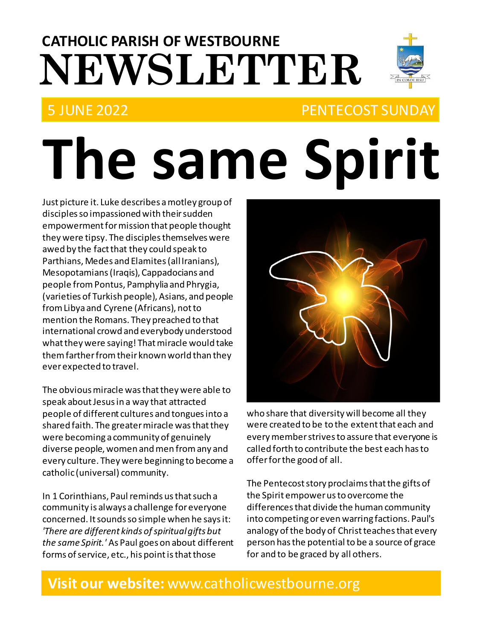# **NEWSLETTER CATHOLIC PARISH OF WESTBOURNE**

## 5 JUNE 2022 PENTECOST SUNDAY

# **The same Spirit**

Just picture it. Luke describes a motley group of disciples so impassioned with their sudden empowerment for mission that people thought they were tipsy. The disciples themselves were awed by the fact that they could speak to Parthians, Medes and Elamites (all Iranians), Mesopotamians (Iraqis), Cappadocians and people from Pontus, Pamphylia and Phrygia, (varieties of Turkish people), Asians, and people from Libya and Cyrene (Africans), not to mention the Romans. They preached to that international crowd and everybody understood what they were saying! That miracle would take them farther from their known world than they ever expected to travel.

The obvious miracle was that they were able to speak about Jesus in a way that attracted people of different cultures and tongues into a shared faith. The greater miracle was that they were becoming a community of genuinely diverse people, women and men from any and every culture. They were beginning to become a catholic (universal) community.

In 1 Corinthians, Paul reminds us that such a community is always a challenge for everyone concerned. It sounds so simple when he says it: *'There are different kinds of spiritual gifts but the same Spirit.'* As Paul goes on about different forms of service, etc., his point is that those



who share that diversity will become all they were created to be to the extent that each and every member strives to assure that everyone is called forth to contribute the best each has to offer for the good of all.

The Pentecost story proclaims that the gifts of the Spirit empower us to overcome the differences that divide the human community into competing or even warring factions. Paul's analogy of the body of Christ teaches that every person has the potential to be a source of grace for and to be graced by all others.

## **Visit our website:** www.catholicwestbourne.org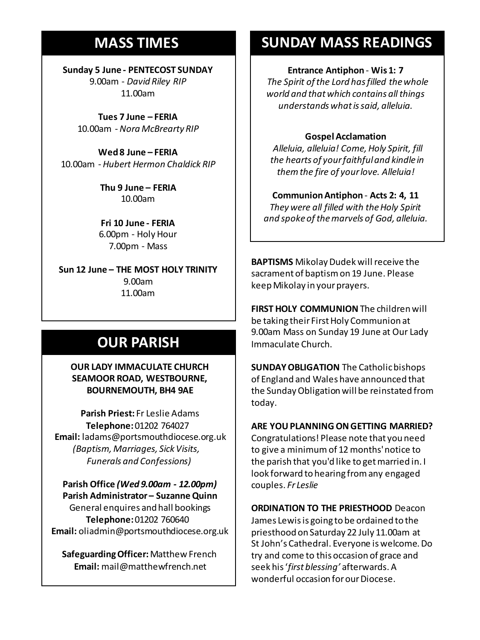## **MASS TIMES**

**Sunday 5 June - PENTECOST SUNDAY** 9.00am - *David Riley RIP* 11.00am

**Tues 7 June – FERIA** 10.00am -*Nora McBrearty RIP*

**Sunday 11th 9am:** *The Parish* **11am** *Tim Mc Cann* 10.00am - *Hubert Hermon Chaldick RIP* **Wed 8 June – FERIA**

**Wednesday 14th** *Repose of the souls of Bernard Charles and Elsie May Pratt* **Thu 9 June – FERIA Saturday 16th** *Rosemarie Schofield RIP* 10.00am

**Sunday 18th 11am** *The Parish*  **Fri 10 June - FERIA** 6.00pm - Holy Hour 7.00pm - Mass

**Sun 12 June – THE MOST HOLY TRINITY** 9.00am 11.00am

## **OUR PARISH**

**OUR LADY IMMACULATE CHURCH SEAMOOR ROAD, WESTBOURNE, BOURNEMOUTH, BH4 9AE**

**Parish Priest:** Fr Leslie Adams **Telephone:**01202 764027 **Email:** ladams@portsmouthdiocese.org.uk *(Baptism, Marriages, Sick Visits, Funerals and Confessions)*

**Parish Office** *(Wed 9.00am - 12.00pm)* **Parish Administrator – Suzanne Quinn** General enquires andhall bookings **Telephone:**01202 760640 **Email:** oliadmin@portsmouthdiocese.org.uk

**Safeguarding Officer:**Matthew French **Email:** mail@matthewfrench.net

## **SUNDAY MASS READINGS**

**Entrance Antiphon** - **Wis 1: 7**

*The Spirit of the Lord has filled the whole world and that which contains all things understands what is said, alleluia.* 

### **Gospel Acclamation**

*Alleluia, alleluia! Come, Holy Spirit, fill the hearts of your faithful and kindle in them the fire of your love. Alleluia!* 

**Communion Antiphon** - **Acts 2: 4, 11** *They were all filled with the Holy Spirit and spoke of the marvels of God, alleluia.* 

**BAPTISMS** Mikolay Dudek will receive the sacrament of baptism on 19 June. Please keep Mikolay in your prayers.

**FIRST HOLY COMMUNION**The children will be taking their First Holy Communion at 9.00am Mass on Sunday 19 June at Our Lady Immaculate Church.

**SUNDAY OBLIGATION** The Catholic bishops of England and Wales have announced that the Sunday Obligation will be reinstated from today.

## **ARE YOU PLANNING ON GETTING MARRIED?**

Congratulations! Please note that you need to give a minimumof 12months' notice to the parish that you'd like to get married in. I look forward to hearing from any engaged couples. *Fr Leslie*

**ORDINATION TO THE PRIESTHOOD** Deacon James Lewis is going to be ordained to the priesthood on Saturday 22 July 11.00am at St John's Cathedral. Everyone is welcome. Do try and come to this occasion of grace and seek his '*first blessing'* afterwards. A wonderful occasion for our Diocese.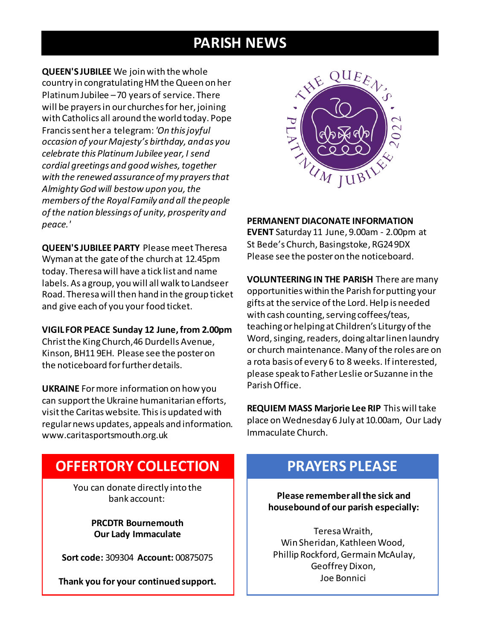## **PARISH NEWS**

**QUEEN'S JUBILEE** We join with the whole country in congratulating HM the Queen on her Platinum Jubilee –70 years of service. There will be prayers in our churches for her, joining with Catholics all around the world today. Pope Francis sent her a telegram: *'On this joyful occasion of your Majesty's birthday, and as you celebrate this Platinum Jubilee year, I send cordial greetings and good wishes, together with the renewed assurance of my prayers that Almighty God will bestow upon you, the members of the Royal Family and all the people of the nation blessings of unity, prosperity and peace.'*

**QUEEN'S JUBILEE PARTY** Please meet Theresa Wyman at the gate of the church at 12.45pm today. Theresa will have a tick list and name labels. As a group, you will all walk to Landseer Road. Theresa will then hand in the group ticket and give each of you your food ticket.

**VIGIL FOR PEACE Sunday 12 June, from 2.00pm** Christ the King Church,46 Durdells Avenue, Kinson, BH11 9EH. Please see the poster on the noticeboard for further details.

**UKRAINE** For more information on how you can support the Ukraine humanitarian efforts, visit the Caritas website. This is updated with regular news updates, appeals and information. www.caritasportsmouth.org.uk



**PERMANENT DIACONATE INFORMATION EVENT** Saturday 11 June, 9.00am - 2.00pm at St Bede's Church, Basingstoke, RG24 9DX Please see the poster on the noticeboard.

**VOLUNTEERING IN THE PARISH** There are many opportunities within the Parish for putting your gifts at the service of the Lord. Help is needed with cash counting, serving coffees/teas, teaching or helping at Children's Liturgy of the Word, singing, readers, doing altar linen laundry or church maintenance. Many of the roles are on a rota basis of every 6 to 8 weeks. If interested, please speak to Father Leslie or Suzanne in the Parish Office.

**REQUIEM MASS Marjorie Lee RIP** This will take place on Wednesday 6 July at 10.00am, Our Lady Immaculate Church.

## **OFFERTORY COLLECTION**

You can donate directly into the bank account:

> **PRCDTR Bournemouth Our Lady Immaculate**

**Sort code:** 309304 **Account:** 00875075

**Thank you for your continued support.**

## **PRAYERS PLEASE**

**Please remember all the sick and housebound of our parish especially:**

Teresa Wraith, Win Sheridan, Kathleen Wood, Phillip Rockford, Germain McAulay, Geoffrey Dixon, Joe Bonnici